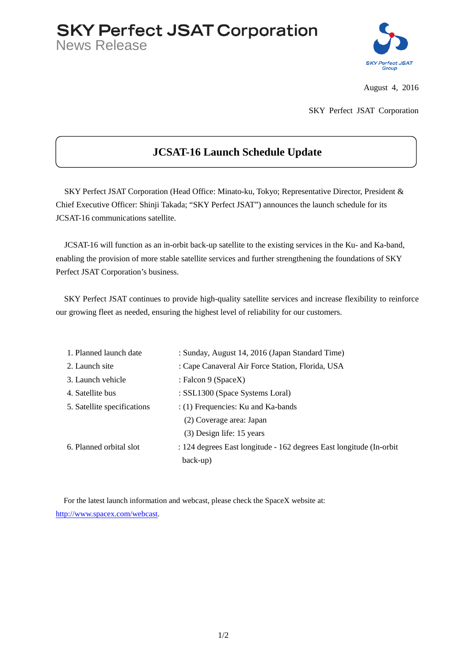## **SKY Perfect JSAT Corporation**

News Release



August 4, 2016

SKY Perfect JSAT Corporation

## **JCSAT-16 Launch Schedule Update**

SKY Perfect JSAT Corporation (Head Office: Minato-ku, Tokyo; Representative Director, President & Chief Executive Officer: Shinji Takada; "SKY Perfect JSAT") announces the launch schedule for its JCSAT-16 communications satellite.

JCSAT-16 will function as an in-orbit back-up satellite to the existing services in the Ku- and Ka-band, enabling the provision of more stable satellite services and further strengthening the foundations of SKY Perfect JSAT Corporation's business.

SKY Perfect JSAT continues to provide high-quality satellite services and increase flexibility to reinforce our growing fleet as needed, ensuring the highest level of reliability for our customers.

| 1. Planned launch date      | : Sunday, August 14, 2016 (Japan Standard Time)                      |
|-----------------------------|----------------------------------------------------------------------|
| 2. Launch site              | : Cape Canaveral Air Force Station, Florida, USA                     |
| 3. Launch vehicle           | : Falcon 9 (SpaceX)                                                  |
| 4. Satellite bus            | : SSL1300 (Space Systems Loral)                                      |
| 5. Satellite specifications | $:(1)$ Frequencies: Ku and Ka-bands                                  |
|                             | (2) Coverage area: Japan                                             |
|                             | (3) Design life: 15 years                                            |
| 6. Planned orbital slot     | : 124 degrees East longitude - 162 degrees East longitude (In-orbit) |
|                             | back-up)                                                             |
|                             |                                                                      |

For the latest launch information and webcast, please check the SpaceX website at: [http://www.spacex.com/webcast.](http://www.spacex.com/webcast)